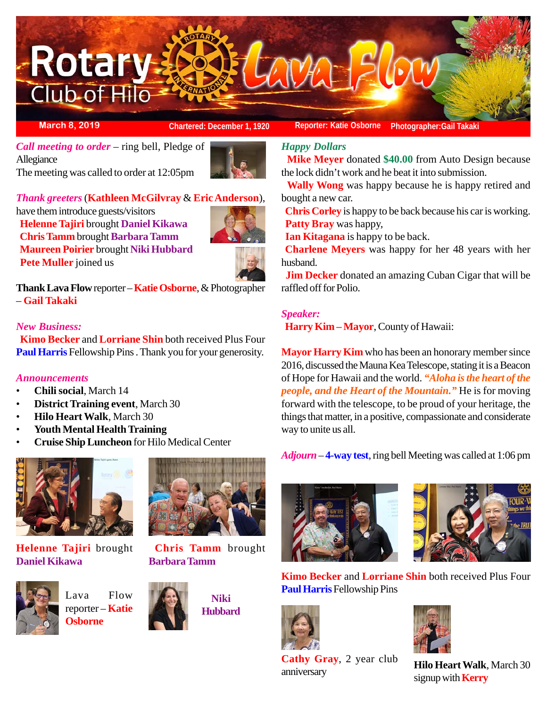

**March 8, 2019 Chartered: December 1, 1920** Reporter: Katie Osborne Photographer: Gail Takaki

*Call meeting to order* – ring bell, Pledge of Allegiance The meeting was called to order at 12:05pm



### *Thank greeters* (**Kathleen McGilvray** & **Eric Anderson**),

have them introduce guests/visitors **Helenne Tajiri** brought **Daniel Kikawa Chris Tamm** brought **Barbara Tamm Maureen Poirier** brought **Niki Hubbard Pete Muller** joined us



**Thank Lava Flow** reporter – **Katie Osborne**, & Photographer – **Gail Takaki**

### *New Business:*

 **Kimo Becker** and **Lorriane Shin** both received Plus Four **Paul Harris** Fellowship Pins . Thank you for your generosity.

### *Announcements*

- **Chili social**, March 14
- **District Training event**, March 30
- **Hilo Heart Walk**, March 30
- **Youth Mental Health Training**
- **Cruise Ship Luncheon** for Hilo Medical Center



**Helenne Tajiri** brought **Daniel Kikawa**



reporter – **Katie Osborne**



**Barbara Tamm**



**Chris Tamm** brought

# *Happy Dollars*

 **Mike Meyer** donated **\$40.00** from Auto Design because the lock didn't work and he beat it into submission.

 **Wally Wong** was happy because he is happy retired and bought a new car.

 **Chris Corley** is happy to be back because his car is working. **Patty Bray** was happy,

**Ian Kitagana** is happy to be back.

**Charlene Meyers** was happy for her 48 years with her husband.

**Jim Decker** donated an amazing Cuban Cigar that will be raffled off for Polio.

### *Speaker:*

**Harry Kim – Mayor**, County of Hawaii:

**Mayor Harry Kim** who has been an honorary member since 2016, discussed the Mauna Kea Telescope, stating it is a Beacon of Hope for Hawaii and the world. *"Aloha is the heart of the people, and the Heart of the Mountain."* He is for moving forward with the telescope, to be proud of your heritage, the things that matter, in a positive, compassionate and considerate way to unite us all.

*Adjourn* – **4-way test**, ring bell Meeting was called at 1:06 pm





**Kimo Becker** and **Lorriane Shin** both received Plus Four Lava Flow **Paul Harris** Fellowship Pins



**Cathy Gray**, 2 year club **Latify Gray**, 2 year Club **Hilo Heart Walk**, March 30 anniversary



signup with **Kerry**